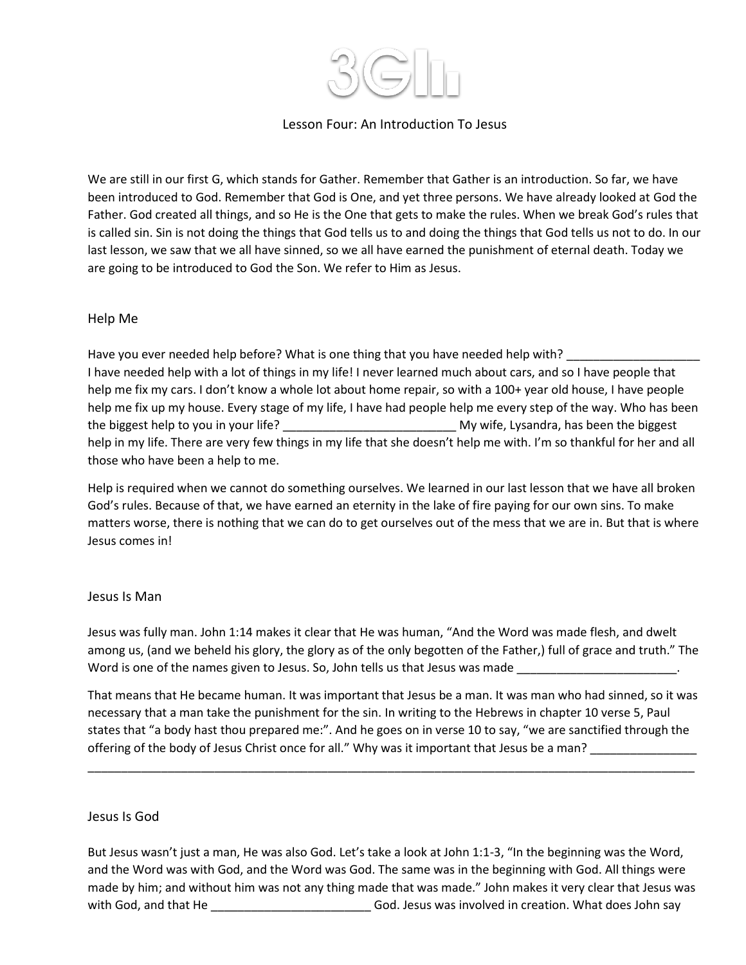

## Lesson Four: An Introduction To Jesus

We are still in our first G, which stands for Gather. Remember that Gather is an introduction. So far, we have been introduced to God. Remember that God is One, and yet three persons. We have already looked at God the Father. God created all things, and so He is the One that gets to make the rules. When we break God's rules that is called sin. Sin is not doing the things that God tells us to and doing the things that God tells us not to do. In our last lesson, we saw that we all have sinned, so we all have earned the punishment of eternal death. Today we are going to be introduced to God the Son. We refer to Him as Jesus.

#### Help Me

Have you ever needed help before? What is one thing that you have needed help with? I have needed help with a lot of things in my life! I never learned much about cars, and so I have people that help me fix my cars. I don't know a whole lot about home repair, so with a 100+ year old house, I have people help me fix up my house. Every stage of my life, I have had people help me every step of the way. Who has been the biggest help to you in your life? \_\_\_\_\_\_\_\_\_\_\_\_\_\_\_\_\_\_\_\_\_\_\_\_\_\_ My wife, Lysandra, has been the biggest help in my life. There are very few things in my life that she doesn't help me with. I'm so thankful for her and all those who have been a help to me.

Help is required when we cannot do something ourselves. We learned in our last lesson that we have all broken God's rules. Because of that, we have earned an eternity in the lake of fire paying for our own sins. To make matters worse, there is nothing that we can do to get ourselves out of the mess that we are in. But that is where Jesus comes in!

#### Jesus Is Man

Jesus was fully man. John 1:14 makes it clear that He was human, "And the Word was made flesh, and dwelt among us, (and we beheld his glory, the glory as of the only begotten of the Father,) full of grace and truth." The Word is one of the names given to Jesus. So, John tells us that Jesus was made

That means that He became human. It was important that Jesus be a man. It was man who had sinned, so it was necessary that a man take the punishment for the sin. In writing to the Hebrews in chapter 10 verse 5, Paul states that "a body hast thou prepared me:". And he goes on in verse 10 to say, "we are sanctified through the offering of the body of Jesus Christ once for all." Why was it important that Jesus be a man?

\_\_\_\_\_\_\_\_\_\_\_\_\_\_\_\_\_\_\_\_\_\_\_\_\_\_\_\_\_\_\_\_\_\_\_\_\_\_\_\_\_\_\_\_\_\_\_\_\_\_\_\_\_\_\_\_\_\_\_\_\_\_\_\_\_\_\_\_\_\_\_\_\_\_\_\_\_\_\_\_\_\_\_\_\_\_\_\_\_\_\_

### Jesus Is God

But Jesus wasn't just a man, He was also God. Let's take a look at John 1:1-3, "In the beginning was the Word, and the Word was with God, and the Word was God. The same was in the beginning with God. All things were made by him; and without him was not any thing made that was made." John makes it very clear that Jesus was with God, and that He **South Accord Constructed** God. Jesus was involved in creation. What does John say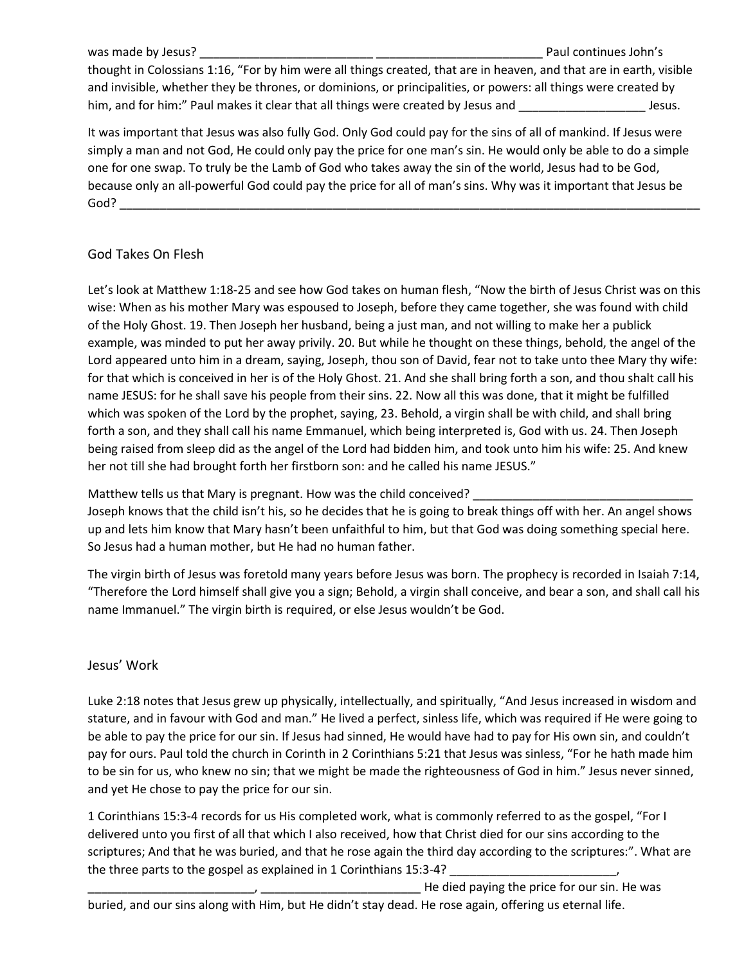was made by Jesus? **Example 20 and 20 and 20 and 20 and 20 and 20 and 20 and 20 and 20 and 20 and 20 and 20 and 20 and 20 and 20 and 20 and 20 and 20 and 20 and 20 and 20 and 20 and 20 and 20 and 20 and 20 and 20 and 20 an** thought in Colossians 1:16, "For by him were all things created, that are in heaven, and that are in earth, visible and invisible, whether they be thrones, or dominions, or principalities, or powers: all things were created by him, and for him:" Paul makes it clear that all things were created by Jesus and \_\_\_\_\_\_\_\_\_\_\_\_\_\_\_\_\_\_\_\_\_\_\_\_\_\_\_ Jesus.

It was important that Jesus was also fully God. Only God could pay for the sins of all of mankind. If Jesus were simply a man and not God, He could only pay the price for one man's sin. He would only be able to do a simple one for one swap. To truly be the Lamb of God who takes away the sin of the world, Jesus had to be God, because only an all-powerful God could pay the price for all of man's sins. Why was it important that Jesus be  $\mathsf{God?}$ 

# God Takes On Flesh

Let's look at Matthew 1:18-25 and see how God takes on human flesh, "Now the birth of Jesus Christ was on this wise: When as his mother Mary was espoused to Joseph, before they came together, she was found with child of the Holy Ghost. 19. Then Joseph her husband, being a just man, and not willing to make her a publick example, was minded to put her away privily. 20. But while he thought on these things, behold, the angel of the Lord appeared unto him in a dream, saying, Joseph, thou son of David, fear not to take unto thee Mary thy wife: for that which is conceived in her is of the Holy Ghost. 21. And she shall bring forth a son, and thou shalt call his name JESUS: for he shall save his people from their sins. 22. Now all this was done, that it might be fulfilled which was spoken of the Lord by the prophet, saying, 23. Behold, a virgin shall be with child, and shall bring forth a son, and they shall call his name Emmanuel, which being interpreted is, God with us. 24. Then Joseph being raised from sleep did as the angel of the Lord had bidden him, and took unto him his wife: 25. And knew her not till she had brought forth her firstborn son: and he called his name JESUS."

Matthew tells us that Mary is pregnant. How was the child conceived? \_\_\_\_\_\_\_\_\_\_\_

Joseph knows that the child isn't his, so he decides that he is going to break things off with her. An angel shows up and lets him know that Mary hasn't been unfaithful to him, but that God was doing something special here. So Jesus had a human mother, but He had no human father.

The virgin birth of Jesus was foretold many years before Jesus was born. The prophecy is recorded in Isaiah 7:14, "Therefore the Lord himself shall give you a sign; Behold, a virgin shall conceive, and bear a son, and shall call his name Immanuel." The virgin birth is required, or else Jesus wouldn't be God.

### Jesus' Work

Luke 2:18 notes that Jesus grew up physically, intellectually, and spiritually, "And Jesus increased in wisdom and stature, and in favour with God and man." He lived a perfect, sinless life, which was required if He were going to be able to pay the price for our sin. If Jesus had sinned, He would have had to pay for His own sin, and couldn't pay for ours. Paul told the church in Corinth in 2 Corinthians 5:21 that Jesus was sinless, "For he hath made him to be sin for us, who knew no sin; that we might be made the righteousness of God in him." Jesus never sinned, and yet He chose to pay the price for our sin.

1 Corinthians 15:3-4 records for us His completed work, what is commonly referred to as the gospel, "For I delivered unto you first of all that which I also received, how that Christ died for our sins according to the scriptures; And that he was buried, and that he rose again the third day according to the scriptures:". What are the three parts to the gospel as explained in 1 Corinthians 15:3-4?

\_\_\_\_\_\_\_\_\_\_\_\_\_\_\_\_\_\_\_\_\_\_\_\_\_, \_\_\_\_\_\_\_\_\_\_\_\_\_\_\_\_\_\_\_\_\_\_\_\_ He died paying the price for our sin. He was buried, and our sins along with Him, but He didn't stay dead. He rose again, offering us eternal life.